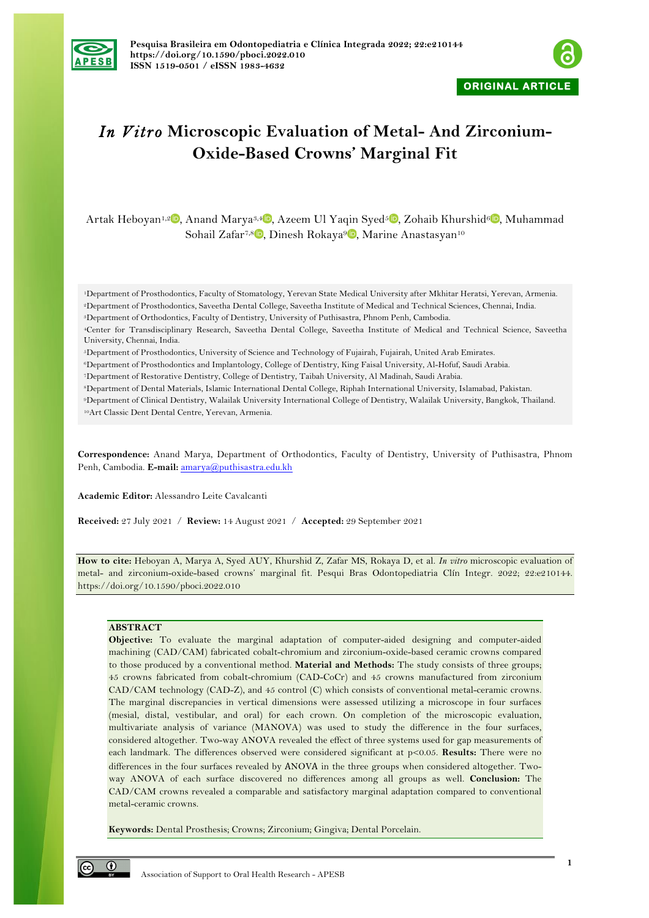



# *In Vitro* **Microscopic Evaluation of Metal- And Zirconium-Oxide-Based Crowns' Marginal Fit**

Artak Heboyan<sup>1,[2](https://orcid.org/0000-0001-8329-3205)</sup><sup>0</sup>[,](https://orcid.org/0000-0001-7998-7335) Anand Marya<sup>3,4</sup><sup>0</sup>, Azeem Ul Yaqin Syed<sup>5</sup><sup>0</sup>, Zohaib Khurshid<sup>6</sup><sup>0</sup>, Muhammad Sohail Zafar<sup>7[,](https://orcid.org/0000-0002-3854-667X)8</sup> D, Dinesh Rokaya<sup>9</sup> D, Marine Anastasyan<sup>10</sup>

1Department of Prosthodontics, Faculty of Stomatology, Yerevan State Medical University after Mkhitar Heratsi, Yerevan, Armenia. 2Department of Prosthodontics, Saveetha Dental College, Saveetha Institute of Medical and Technical Sciences, Chennai, India.

3Department of Orthodontics, Faculty of Dentistry, University of Puthisastra, Phnom Penh, Cambodia.

4Center for Transdisciplinary Research, Saveetha Dental College, Saveetha Institute of Medical and Technical Science, Saveetha University, Chennai, India.

5Department of Prosthodontics, University of Science and Technology of Fujairah, Fujairah, United Arab Emirates.

6Department of Prosthodontics and Implantology, College of Dentistry, King Faisal University, Al-Hofuf, Saudi Arabia.

7Department of Restorative Dentistry, College of Dentistry, Taibah University, Al Madinah, Saudi Arabia.

8Department of Dental Materials, Islamic International Dental College, Riphah International University, Islamabad, Pakistan.

9Department of Clinical Dentistry, Walailak University International College of Dentistry, Walailak University, Bangkok, Thailand. 10Art Classic Dent Dental Centre, Yerevan, Armenia.

**Correspondence:** Anand Marya, Department of Orthodontics, Faculty of Dentistry, University of Puthisastra, Phnom Penh, Cambodia. E-mail: amarya@puthisastra.edu.kh

**Academic Editor:** Alessandro Leite Cavalcanti

**Received:** 27 July 2021 / **Review:** 14 August 2021 / **Accepted:** 29 September 2021

**How to cite:** Heboyan A, Marya A, Syed AUY, Khurshid Z, Zafar MS, Rokaya D, et al. *In vitro* microscopic evaluation of metal- and zirconium-oxide-based crowns' marginal fit. Pesqui Bras Odontopediatria Clín Integr. 2022; 22:e210144. https://doi.org/10.1590/pboci.2022.010

## **ABSTRACT**

**Objective:** To evaluate the marginal adaptation of computer-aided designing and computer-aided machining (CAD/CAM) fabricated cobalt-chromium and zirconium-oxide-based ceramic crowns compared to those produced by a conventional method. **Material and Methods:** The study consists of three groups; 45 crowns fabricated from cobalt-chromium (CAD-CoCr) and 45 crowns manufactured from zirconium CAD/CAM technology (CAD-Z), and 45 control (C) which consists of conventional metal-ceramic crowns. The marginal discrepancies in vertical dimensions were assessed utilizing a microscope in four surfaces (mesial, distal, vestibular, and oral) for each crown. On completion of the microscopic evaluation, multivariate analysis of variance (MANOVA) was used to study the difference in the four surfaces, considered altogether. Two-way ANOVA revealed the effect of three systems used for gap measurements of each landmark. The differences observed were considered significant at p<0.05. **Results:** There were no differences in the four surfaces revealed by АNOVА in the three groups when considered altogether. Twoway ANOVA of each surface discovered no differences among all groups as well. **Conclusion:** The CAD/CAM crowns revealed a comparable and satisfactory marginal adaptation compared to conventional metal-ceramic crowns.

**Keywords:** Dental Prosthesis; Crowns; Zirconium; Gingiva; Dental Porcelain.

 $\odot$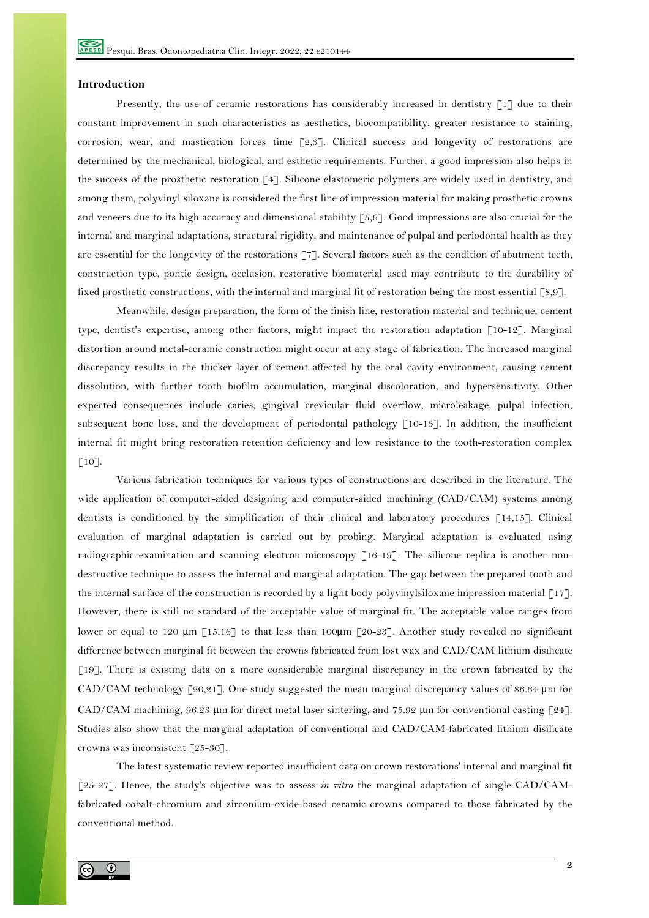### **Introduction**

Presently, the use of ceramic restorations has considerably increased in dentistry [1] due to their constant improvement in such characteristics as aesthetics, biocompatibility, greater resistance to staining, corrosion, wear, and mastication forces time [2,3]. Clinical success and longevity of restorations are determined by the mechanical, biological, and esthetic requirements. Further, a good impression also helps in the success of the prosthetic restoration [4]. Silicone elastomeric polymers are widely used in dentistry, and among them, polyvinyl siloxane is considered the first line of impression material for making prosthetic crowns and veneers due to its high accuracy and dimensional stability [5,6]. Good impressions are also crucial for the internal and marginal adaptations, structural rigidity, and maintenance of pulpal and periodontal health as they are essential for the longevity of the restorations  $\begin{bmatrix} 7 \\ 7 \end{bmatrix}$ . Several factors such as the condition of abutment teeth, construction type, pontic design, occlusion, restorative biomaterial used may contribute to the durability of fixed prosthetic constructions, with the internal and marginal fit of restoration being the most essential [8,9].

Meanwhile, design preparation, the form of the finish line, restoration material and technique, cement type, dentist's expertise, among other factors, might impact the restoration adaptation [10-12]. Marginal distortion around metal-ceramic construction might occur at any stage of fabrication. The increased marginal discrepancy results in the thicker layer of cement affected by the oral cavity environment, causing cement dissolution, with further tooth biofilm accumulation, marginal discoloration, and hypersensitivity. Other expected consequences include caries, gingival crevicular fluid overflow, microleakage, pulpal infection, subsequent bone loss, and the development of periodontal pathology [10-13]. In addition, the insufficient internal fit might bring restoration retention deficiency and low resistance to the tooth-restoration complex  $\lceil 10 \rceil$ .

Various fabrication techniques for various types of constructions are described in the literature. The wide application of computer-aided designing and computer-aided machining (CAD/CAM) systems among dentists is conditioned by the simplification of their clinical and laboratory procedures [14,15]. Clinical evaluation of marginal adaptation is carried out by probing. Marginal adaptation is evaluated using radiographic examination and scanning electron microscopy [16-19]. The silicone replica is another nondestructive technique to assess the internal and marginal adaptation. The gap between the prepared tooth and the internal surface of the construction is recorded by a light body polyvinylsiloxane impression material [17]. However, there is still no standard of the acceptable value of marginal fit. The acceptable value ranges from lower or equal to 120  $\mu$ m [15,16] to that less than 100 $\mu$ m [20-23]. Another study revealed no significant difference between marginal fit between the crowns fabricated from lost wax and CAD/CAM lithium disilicate [19]. There is existing data on a more considerable marginal discrepancy in the crown fabricated by the CAD/CAM technology  $\lceil 20,21 \rceil$ . One study suggested the mean marginal discrepancy values of 86.64  $\mu$ m for CAD/CAM machining, 96.23 μm for direct metal laser sintering, and 75.92 μm for conventional casting [24]. Studies also show that the marginal adaptation of conventional and CAD/CAM-fabricated lithium disilicate crowns was inconsistent [25-30].

The latest systematic review reported insufficient data on crown restorations' internal and marginal fit [25-27]. Hence, the study's objective was to assess *in vitro* the marginal adaptation of single CAD/CAMfabricated cobalt-chromium and zirconium-oxide-based ceramic crowns compared to those fabricated by the conventional method.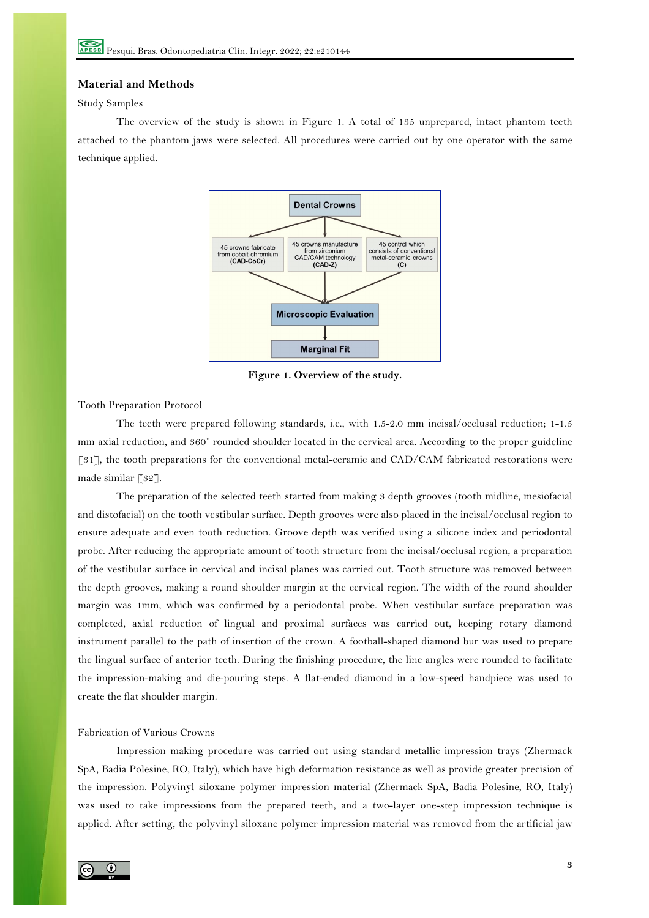## **Material and Methods**

# Study Samples

The overview of the study is shown in Figure 1. A total of 135 unprepared, intact phantom teeth attached to the phantom jaws were selected. All procedures were carried out by one operator with the same technique applied.



**Figure 1. Overview of the study.**

Tooth Preparation Protocol

The teeth were prepared following standards, i.e., with 1.5-2.0 mm incisal/occlusal reduction; 1-1.5 mm axial reduction, and 360˚ rounded shoulder located in the cervical area. According to the proper guideline [31], the tooth preparations for the conventional metal-ceramic and CAD/CAM fabricated restorations were made similar [32].

The preparation of the selected teeth started from making 3 depth grooves (tooth midline, mesiofacial and distofacial) on the tooth vestibular surface. Depth grooves were also placed in the incisal/occlusal region to ensure adequate and even tooth reduction. Groove depth was verified using a silicone index and periodontal probe. After reducing the appropriate amount of tooth structure from the incisal/occlusal region, a preparation of the vestibular surface in cervical and incisal planes was carried out. Tooth structure was removed between the depth grooves, making a round shoulder margin at the cervical region. The width of the round shoulder margin was 1mm, which was confirmed by a periodontal probe. When vestibular surface preparation was completed, axial reduction of lingual and proximal surfaces was carried out, keeping rotary diamond instrument parallel to the path of insertion of the crown. A football-shaped diamond bur was used to prepare the lingual surface of anterior teeth. During the finishing procedure, the line angles were rounded to facilitate the impression-making and die-pouring steps. A flat-ended diamond in a low-speed handpiece was used to create the flat shoulder margin.

# Fabrication of Various Crowns

Impression making procedure was carried out using standard metallic impression trays (Zhermack SpA, Badia Polesine, RO, Italy), which have high deformation resistance as well as provide greater precision of the impression. Polyvinyl siloxane polymer impression material (Zhermack SpA, Badia Polesine, RO, Italy) was used to take impressions from the prepared teeth, and a two-layer one-step impression technique is applied. After setting, the polyvinyl siloxane polymer impression material was removed from the artificial jaw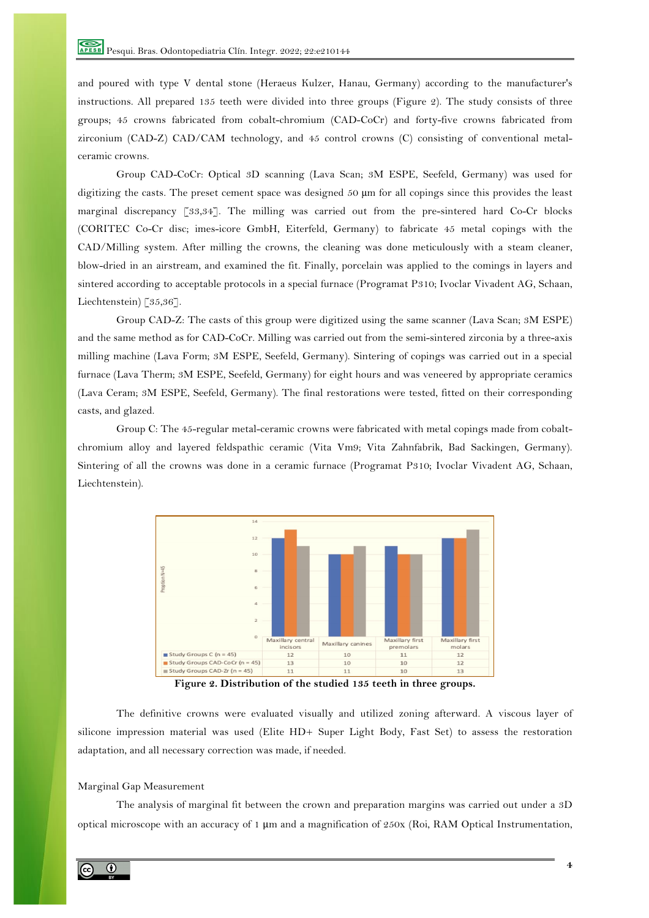and poured with type V dental stone (Heraeus Kulzer, Hanau, Germany) according to the manufacturer's instructions. All prepared 135 teeth were divided into three groups (Figure 2). The study consists of three groups; 45 crowns fabricated from cobalt-chromium (CAD-CoCr) and forty-five crowns fabricated from zirconium (CAD-Z) CAD/CAM technology, and 45 control crowns (C) consisting of conventional metalceramic crowns.

Group CAD-CoCr: Optical 3D scanning (Lava Scan; 3M ESPE, Seefeld, Germany) was used for digitizing the casts. The preset cement space was designed 50  $\mu$ m for all copings since this provides the least marginal discrepancy [33,34]. The milling was carried out from the pre-sintered hard Co-Cr blocks (CORITEC Co-Cr disc; imes-icore GmbH, Eiterfeld, Germany) to fabricate 45 metal copings with the CAD/Milling system. After milling the crowns, the cleaning was done meticulously with a steam cleaner, blow-dried in an airstream, and examined the fit. Finally, porcelain was applied to the comings in layers and sintered according to acceptable protocols in a special furnace (Programat P310; Ivoclar Vivadent AG, Schaan, Liechtenstein) [35,36].

Group CAD-Z: The casts of this group were digitized using the same scanner (Lava Scan; 3M ESPE) and the same method as for CAD-CoCr. Milling was carried out from the semi-sintered zirconia by a three-axis milling machine (Lava Form; 3M ESPE, Seefeld, Germany). Sintering of copings was carried out in a special furnace (Lava Therm; 3M ESPE, Seefeld, Germany) for eight hours and was veneered by appropriate ceramics (Lava Ceram; 3M ESPE, Seefeld, Germany). The final restorations were tested, fitted on their corresponding casts, and glazed.

Group C: The 45-regular metal-ceramic crowns were fabricated with metal copings made from cobaltchromium alloy and layered feldspathic ceramic (Vita Vm9; Vita Zahnfabrik, Bad Sackingen, Germany). Sintering of all the crowns was done in a ceramic furnace (Programat P310; Ivoclar Vivadent AG, Schaan, Liechtenstein).



**Figure 2. Distribution of the studied 135 teeth in three groups.**

The definitive crowns were evaluated visually and utilized zoning afterward. A viscous layer of silicone impression material was used (Elite HD+ Super Light Body, Fast Set) to assess the restoration adaptation, and all necessary correction was made, if needed.

## Marginal Gap Measurement

The analysis of marginal fit between the crown and preparation margins was carried out under a 3D optical microscope with an accuracy of 1 μm and a magnification of 250x (Roi, RAM Optical Instrumentation,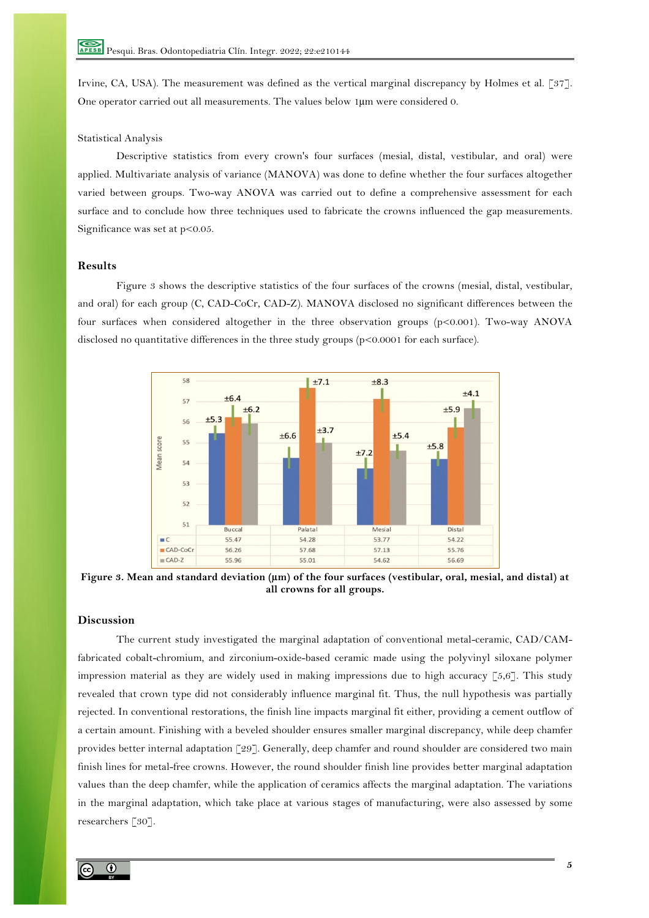Irvine, CA, USA). The measurement was defined as the vertical marginal discrepancy by Holmes et al. [37]. One operator carried out all measurements. The values below 1µm were considered 0.

## Statistical Analysis

Descriptive statistics from every crown's four surfaces (mesial, distal, vestibular, and oral) were applied. Multivariate analysis of variance (MANOVA) was done to define whether the four surfaces altogether varied between groups. Two-way ANOVA was carried out to define a comprehensive assessment for each surface and to conclude how three techniques used to fabricate the crowns influenced the gap measurements. Significance was set at  $p<0.05$ .

### **Results**

Figure 3 shows the descriptive statistics of the four surfaces of the crowns (mesial, distal, vestibular, and oral) for each group (C, CAD-CoCr, CAD-Z). MANOVA disclosed no significant differences between the four surfaces when considered altogether in the three observation groups (p<0.001). Two-way ANOVA disclosed no quantitative differences in the three study groups (p<0.0001 for each surface).



Figure 3. Mean and standard deviation ( $\mu$ m) of the four surfaces (vestibular, oral, mesial, and distal) at **all crowns for all groups.**

# **Discussion**

The current study investigated the marginal adaptation of conventional metal-ceramic, CAD/CAMfabricated cobalt-chromium, and zirconium-oxide-based ceramic made using the polyvinyl siloxane polymer impression material as they are widely used in making impressions due to high accuracy [5,6]. This study revealed that crown type did not considerably influence marginal fit. Thus, the null hypothesis was partially rejected. In conventional restorations, the finish line impacts marginal fit either, providing a cement outflow of a certain amount. Finishing with a beveled shoulder ensures smaller marginal discrepancy, while deep chamfer provides better internal adaptation [29]. Generally, deep chamfer and round shoulder are considered two main finish lines for metal-free crowns. However, the round shoulder finish line provides better marginal adaptation values than the deep chamfer, while the application of ceramics affects the marginal adaptation. The variations in the marginal adaptation, which take place at various stages of manufacturing, were also assessed by some researchers [30].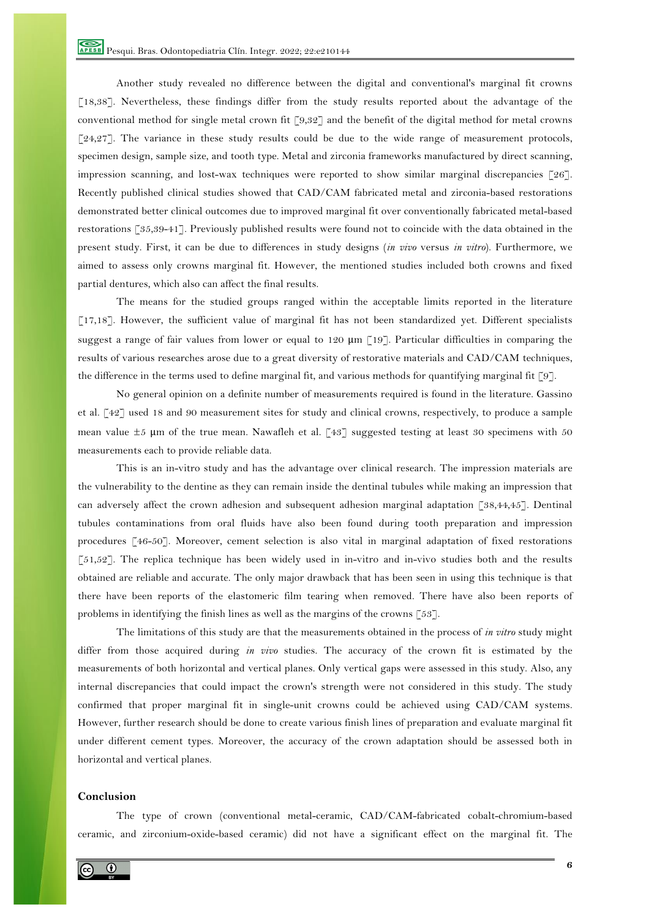Another study revealed no difference between the digital and conventional's marginal fit crowns [18,38]. Nevertheless, these findings differ from the study results reported about the advantage of the conventional method for single metal crown fit [9,32] and the benefit of the digital method for metal crowns  $[24,27]$ . The variance in these study results could be due to the wide range of measurement protocols, specimen design, sample size, and tooth type. Metal and zirconia frameworks manufactured by direct scanning, impression scanning, and lost-wax techniques were reported to show similar marginal discrepancies [26]. Recently published clinical studies showed that CAD/CAM fabricated metal and zirconia-based restorations demonstrated better clinical outcomes due to improved marginal fit over conventionally fabricated metal-based restorations [35,39-41]. Previously published results were found not to coincide with the data obtained in the present study. First, it can be due to differences in study designs (*in vivo* versus *in vitro*). Furthermore, we aimed to assess only crowns marginal fit. However, the mentioned studies included both crowns and fixed partial dentures, which also can affect the final results.

The means for the studied groups ranged within the acceptable limits reported in the literature [17,18]. However, the sufficient value of marginal fit has not been standardized yet. Different specialists suggest a range of fair values from lower or equal to 120  $\mu$ m [19]. Particular difficulties in comparing the results of various researches arose due to a great diversity of restorative materials and CAD/CAM techniques, the difference in the terms used to define marginal fit, and various methods for quantifying marginal fit [9].

No general opinion on a definite number of measurements required is found in the literature. Gassino et al. [42] used 18 and 90 measurement sites for study and clinical crowns, respectively, to produce a sample mean value  $\pm 5$  μm of the true mean. Nawafleh et al. [43] suggested testing at least 30 specimens with 50 measurements each to provide reliable data.

This is an in-vitro study and has the advantage over clinical research. The impression materials are the vulnerability to the dentine as they can remain inside the dentinal tubules while making an impression that can adversely affect the crown adhesion and subsequent adhesion marginal adaptation [38,44,45]. Dentinal tubules contaminations from oral fluids have also been found during tooth preparation and impression procedures [46-50]. Moreover, cement selection is also vital in marginal adaptation of fixed restorations [51,52]. The replica technique has been widely used in in-vitro and in-vivo studies both and the results obtained are reliable and accurate. The only major drawback that has been seen in using this technique is that there have been reports of the elastomeric film tearing when removed. There have also been reports of problems in identifying the finish lines as well as the margins of the crowns [53].

The limitations of this study are that the measurements obtained in the process of *in vitro* study might differ from those acquired during *in vivo* studies. The accuracy of the crown fit is estimated by the measurements of both horizontal and vertical planes. Only vertical gaps were assessed in this study. Also, any internal discrepancies that could impact the crown's strength were not considered in this study. The study confirmed that proper marginal fit in single-unit crowns could be achieved using CAD/CAM systems. However, further research should be done to create various finish lines of preparation and evaluate marginal fit under different cement types. Moreover, the accuracy of the crown adaptation should be assessed both in horizontal and vertical planes.

# **Conclusion**

The type of crown (conventional metal-ceramic, CAD/CAM-fabricated cobalt-chromium-based ceramic, and zirconium-oxide-based ceramic) did not have a significant effect on the marginal fit. The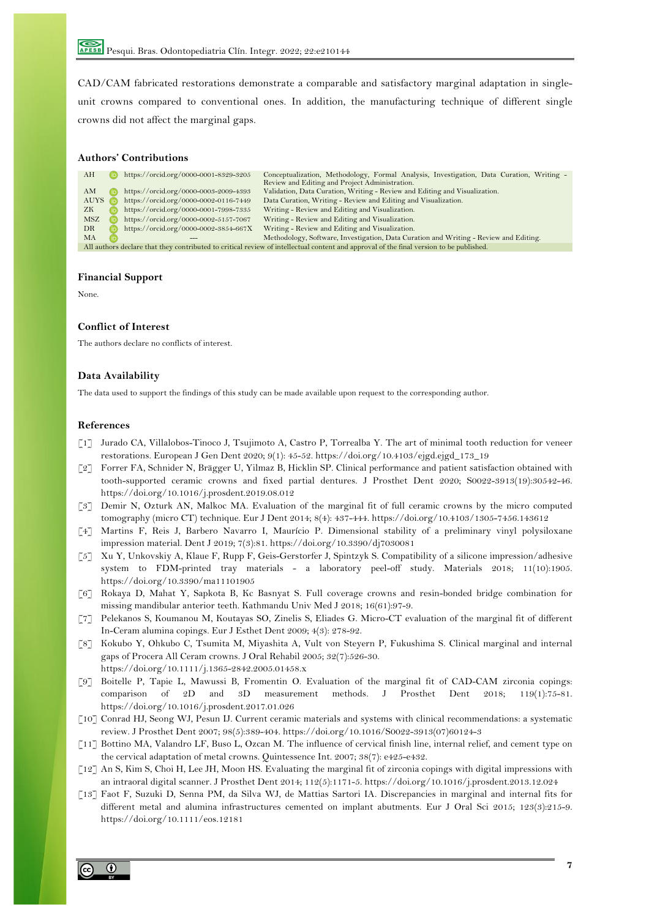CAD/CAM fabricated restorations demonstrate a comparable and satisfactory marginal adaptation in singleunit crowns compared to conventional ones. In addition, the manufacturing technique of different single crowns did not affect the marginal gaps.

#### **Authors' Contributions**

| AH                                                                                                                                      |  | https://orcid.org/0000-0001-8329-3205 | Conceptualization, Methodology, Formal Analysis, Investigation, Data Curation, Writing - |
|-----------------------------------------------------------------------------------------------------------------------------------------|--|---------------------------------------|------------------------------------------------------------------------------------------|
|                                                                                                                                         |  |                                       | Review and Editing and Project Administration.                                           |
| AМ                                                                                                                                      |  | https://orcid.org/0000-0003-2009-4393 | Validation, Data Curation, Writing - Review and Editing and Visualization.               |
| <b>AUYS</b>                                                                                                                             |  | https://orcid.org/0000-0002-0116-7449 | Data Curation, Writing - Review and Editing and Visualization.                           |
| ZK.                                                                                                                                     |  | https://orcid.org/0000-0001-7998-7335 | Writing - Review and Editing and Visualization.                                          |
| MSZ                                                                                                                                     |  | https://orcid.org/0000-0002-5157-7067 | Writing - Review and Editing and Visualization.                                          |
| DR.                                                                                                                                     |  | https://orcid.org/0000-0002-3854-667X | Writing - Review and Editing and Visualization.                                          |
| <b>MA</b>                                                                                                                               |  |                                       | Methodology, Software, Investigation, Data Curation and Writing - Review and Editing.    |
| All authors declare that they contributed to critical review of intellectual content and approval of the final version to be published. |  |                                       |                                                                                          |

#### **Financial Support**

None.

## **Conflict of Interest**

The authors declare no conflicts of interest.

#### **Data Availability**

The data used to support the findings of this study can be made available upon request to the corresponding author.

#### **References**

- [1] Jurado CA, Villalobos-Tinoco J, Tsujimoto A, Castro P, Torrealba Y. The art of minimal tooth reduction for veneer restorations. European J Gen Dent 2020; 9(1): 45-52. https://doi.org/10.4103/ejgd.ejgd\_173\_19
- [2] Forrer FA, Schnider N, Brägger U, Yilmaz B, Hicklin SP. Clinical performance and patient satisfaction obtained with tooth-supported ceramic crowns and fixed partial dentures. J Prosthet Dent 2020; S0022-3913(19):30542-46. https://doi.org/10.1016/j.prosdent.2019.08.012
- [3] Demir N, Ozturk AN, Malkoc MA. Evaluation of the marginal fit of full ceramic crowns by the micro computed tomography (micro CT) technique. Eur J Dent 2014; 8(4): 437-444. https://doi.org/10.4103/1305-7456.143612
- [4] Martins F, Reis J, Barbero Navarro I, Maurício P. Dimensional stability of a preliminary vinyl polysiloxane impression material. Dent J 2019; 7(3):81. https://doi.org/10.3390/dj7030081
- [5] Xu Y, Unkovskiy A, Klaue F, Rupp F, Geis-Gerstorfer J, Spintzyk S. Compatibility of a silicone impression/adhesive system to FDM-printed tray materials - a laboratory peel-off study. Materials 2018; 11(10):1905. https://doi.org/10.3390/ma11101905
- [6] Rokaya D, Mahat Y, Sapkota B, Kc Basnyat S. Full coverage crowns and resin-bonded bridge combination for missing mandibular anterior teeth. Kathmandu Univ Med J 2018; 16(61):97-9.
- [7] Pelekanos S, Koumanou M, Koutayas SO, Zinelis S, Eliades G. Micro-CT evaluation of the marginal fit of different In-Ceram alumina copings. Eur J Esthet Dent 2009; 4(3): 278-92.
- [8] Kokubo Y, Ohkubo C, Tsumita M, Miyashita A, Vult von Steyern P, Fukushima S. Clinical marginal and internal gaps of Procera All Ceram crowns. J Oral Rehabil 2005; 32(7):526-30. https://doi.org/10.1111/j.1365-2842.2005.01458.x
- [9] Boitelle P, Tapie L, Mawussi B, Fromentin O. Evaluation of the marginal fit of CAD-CAM zirconia copings: comparison of 2D and 3D measurement methods. J Prosthet Dent 2018; 119(1):75-81. https://doi.org/10.1016/j.prosdent.2017.01.026
- [10] Conrad HJ, Seong WJ, Pesun IJ. Current ceramic materials and systems with clinical recommendations: a systematic review. J Prosthet Dent 2007; 98(5):389-404. https://doi.org/10.1016/S0022-3913(07)60124-3
- [11] Bottino MA, Valandro LF, Buso L, Ozcan M. The influence of cervical finish line, internal relief, and cement type on the cervical adaptation of metal crowns. Quintessence Int. 2007; 38(7): e425-e432.
- [12] An S, Kim S, Choi H, Lee JH, Moon HS. Evaluating the marginal fit of zirconia copings with digital impressions with an intraoral digital scanner. J Prosthet Dent 2014; 112(5):1171-5. https://doi.org/10.1016/j.prosdent.2013.12.024
- [13] Faot F, Suzuki D, Senna PM, da Silva WJ, de Mattias Sartori IA. Discrepancies in marginal and internal fits for different metal and alumina infrastructures cemented on implant abutments. Eur J Oral Sci 2015; 123(3):215-9. https://doi.org/10.1111/eos.12181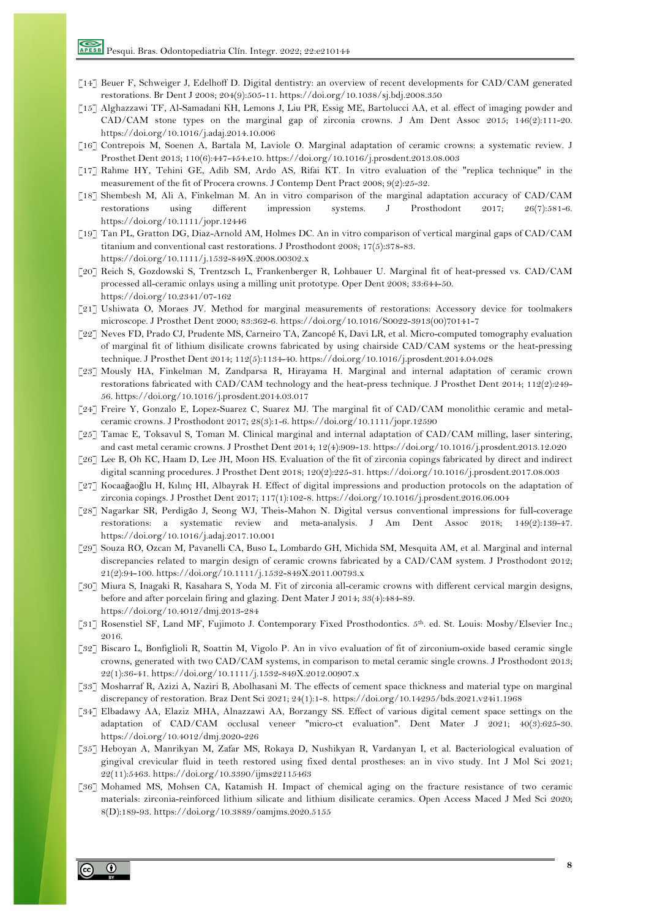- [14] Beuer F, Schweiger J, Edelhoff D. Digital dentistry: an overview of recent developments for CAD/CAM generated restorations. Br Dent J 2008; 204(9):505-11. https://doi.org/10.1038/sj.bdj.2008.350
- [15] Alghazzawi TF, Al-Samadani KH, Lemons J, Liu PR, Essig ME, Bartolucci AA, et al. effect of imaging powder and CAD/CAM stone types on the marginal gap of zirconia crowns. J Am Dent Assoc 2015; 146(2):111-20. https://doi.org/10.1016/j.adaj.2014.10.006
- [16] Contrepois M, Soenen A, Bartala M, Laviole O. Marginal adaptation of ceramic crowns: a systematic review. J Prosthet Dent 2013; 110(6):447-454.e10. https://doi.org/10.1016/j.prosdent.2013.08.003
- [17] Rahme HY, Tehini GE, Adib SM, Ardo AS, Rifai KT. In vitro evaluation of the "replica technique" in the measurement of the fit of Procera crowns. J Contemp Dent Pract 2008; 9(2):25-32.
- [18] Shembesh M, Ali A, Finkelman M. An in vitro comparison of the marginal adaptation accuracy of CAD/CAM restorations using different impression systems. J Prosthodont 2017; 26(7):581-6. https://doi.org/10.1111/jopr.12446
- [19] Tan PL, Gratton DG, Diaz-Arnold AM, Holmes DC. An in vitro comparison of vertical marginal gaps of CAD/CAM titanium and conventional cast restorations. J Prosthodont 2008; 17(5):378-83. https://doi.org/10.1111/j.1532-849X.2008.00302.x
- [20] Reich S, Gozdowski S, Trentzsch L, Frankenberger R, Lohbauer U. Marginal fit of heat-pressed vs. CAD/CAM processed all-ceramic onlays using a milling unit prototype. Oper Dent 2008; 33:644-50. https://doi.org/10.2341/07-162
- [21] Ushiwata O, Moraes JV. Method for marginal measurements of restorations: Accessory device for toolmakers microscope. J Prosthet Dent 2000; 83:362-6. https://doi.org/10.1016/S0022-3913(00)70141-7
- [22] Neves FD, Prado CJ, Prudente MS, Carneiro TA, Zancopé K, Davi LR, et al. Micro-computed tomography evaluation of marginal fit of lithium disilicate crowns fabricated by using chairside CAD/CAM systems or the heat-pressing technique. J Prosthet Dent 2014; 112(5):1134-40. https://doi.org/10.1016/j.prosdent.2014.04.028
- [23] Mously HA, Finkelman M, Zandparsa R, Hirayama H. Marginal and internal adaptation of ceramic crown restorations fabricated with CAD/CAM technology and the heat-press technique. J Prosthet Dent 2014; 112(2):249- 56. https://doi.org/10.1016/j.prosdent.2014.03.017
- [24] Freire Y, Gonzalo E, Lopez-Suarez C, Suarez MJ. The marginal fit of CAD/CAM monolithic ceramic and metalceramic crowns. J Prosthodont 2017; 28(3):1-6. https://doi.org/10.1111/jopr.12590
- [25] Tamac E, Toksavul S, Toman M. Clinical marginal and internal adaptation of CAD/CAM milling, laser sintering, and cast metal ceramic crowns. J Prosthet Dent 2014; 12(4):909-13. https://doi.org/10.1016/j.prosdent.2013.12.020
- [26] Lee B, Oh KC, Haam D, Lee JH, Moon HS. Evaluation of the fit of zirconia copings fabricated by direct and indirect digital scanning procedures. J Prosthet Dent 2018; 120(2):225-31. https://doi.org/10.1016/j.prosdent.2017.08.003
- [27] Kocaağaoğlu H, Kılınç HI, Albayrak H. Effect of digital impressions and production protocols on the adaptation of zirconia copings. J Prosthet Dent 2017; 117(1):102-8. https://doi.org/10.1016/j.prosdent.2016.06.004
- [28] Nagarkar SR, Perdigão J, Seong WJ, Theis-Mahon N. Digital versus conventional impressions for full-coverage restorations: a systematic review and meta-analysis. J Am Dent Assoc 2018; 149(2):139-47. https://doi.org/10.1016/j.adaj.2017.10.001
- [29] Souza RO, Ozcan M, Pavanelli CA, Buso L, Lombardo GH, Michida SM, Mesquita AM, et al. Marginal and internal discrepancies related to margin design of ceramic crowns fabricated by a CAD/CAM system. J Prosthodont 2012; 21(2):94-100. https://doi.org/10.1111/j.1532-849X.2011.00793.x
- [30] Miura S, Inagaki R, Kasahara S, Yoda M. Fit of zirconia all-ceramic crowns with different cervical margin designs, before and after porcelain firing and glazing. Dent Mater J 2014; 33(4):484-89. https://doi.org/10.4012/dmj.2013-284
- [31] Rosenstiel SF, Land MF, Fujimoto J. Contemporary Fixed Prosthodontics. 5th. ed. St. Louis: Mosby/Elsevier Inc.; 2016.
- [32] Biscaro L, Bonfiglioli R, Soattin M, Vigolo P. An in vivo evaluation of fit of zirconium-oxide based ceramic single crowns, generated with two CAD/CAM systems, in comparison to metal ceramic single crowns. J Prosthodont 2013; 22(1):36-41. https://doi.org/10.1111/j.1532-849X.2012.00907.x
- [33] Mosharraf R, Azizi A, Naziri B, Abolhasani M. The effects of cement space thickness and material type on marginal discrepancy of restoration. Braz Dent Sci 2021; 24(1):1-8. https://doi.org/10.14295/bds.2021.v24i1.1968
- [34] Elbadawy AA, Elaziz MHA, Alnazzawi AA, Borzangy SS. Effect of various digital cement space settings on the adaptation of CAD/CAM occlusal veneer "micro-ct evaluation". Dent Mater J 2021; 40(3):625-30. https://doi.org/10.4012/dmj.2020-226
- [35] Heboyan A, Manrikyan M, Zafar MS, Rokaya D, Nushikyan R, Vardanyan I, et al. Bacteriological evaluation of gingival crevicular fluid in teeth restored using fixed dental prostheses: an in vivo study. Int J Mol Sci 2021; 22(11):5463. https://doi.org/10.3390/ijms22115463
- [36] Mohamed MS, Mohsen CA, Katamish H. Impact of chemical aging on the fracture resistance of two ceramic materials: zirconia-reinforced lithium silicate and lithium disilicate ceramics. Open Access Maced J Med Sci 2020; 8(D):189-93. https://doi.org/10.3889/oamjms.2020.5155